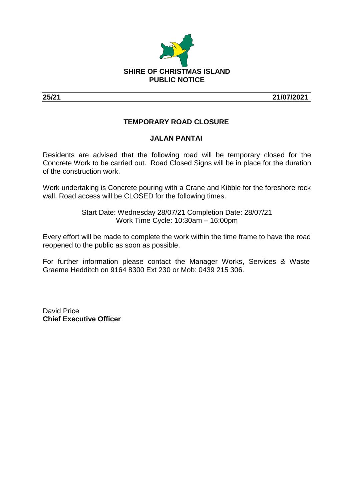

**25/21 21/07/2021**

## **TEMPORARY ROAD CLOSURE**

## **JALAN PANTAI**

Residents are advised that the following road will be temporary closed for the Concrete Work to be carried out. Road Closed Signs will be in place for the duration of the construction work.

Work undertaking is Concrete pouring with a Crane and Kibble for the foreshore rock wall. Road access will be CLOSED for the following times.

> Start Date: Wednesday 28/07/21 Completion Date: 28/07/21 Work Time Cycle: 10:30am – 16:00pm

Every effort will be made to complete the work within the time frame to have the road reopened to the public as soon as possible.

For further information please contact the Manager Works, Services & Waste Graeme Hedditch on 9164 8300 Ext 230 or Mob: 0439 215 306.

David Price **Chief Executive Officer**